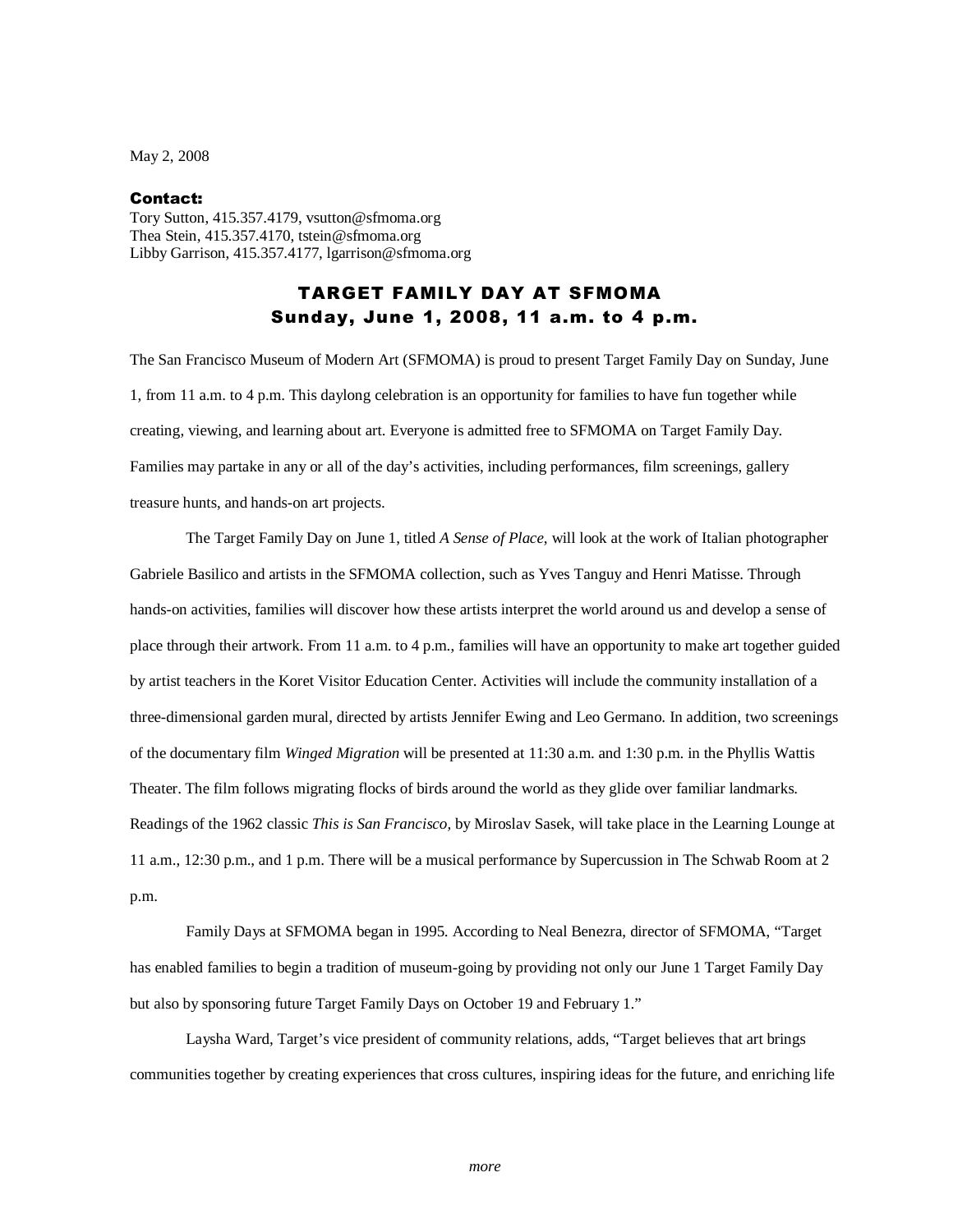May 2, 2008

## Contact:

Tory Sutton, 415.357.4179, vsutton@sfmoma.org Thea Stein, 415.357.4170, tstein@sfmoma.org Libby Garrison, 415.357.4177, lgarrison@sfmoma.org

## TARGET FAMILY DAY AT SFMOMA Sunday, June 1, 2008, 11 a.m. to 4 p.m.

The San Francisco Museum of Modern Art (SFMOMA) is proud to present Target Family Day on Sunday, June 1, from 11 a.m. to 4 p.m. This daylong celebration is an opportunity for families to have fun together while creating, viewing, and learning about art. Everyone is admitted free to SFMOMA on Target Family Day. Families may partake in any or all of the day's activities, including performances, film screenings, gallery treasure hunts, and hands-on art projects.

 The Target Family Day on June 1, titled *A Sense of Place*, will look at the work of Italian photographer Gabriele Basilico and artists in the SFMOMA collection, such as Yves Tanguy and Henri Matisse. Through hands-on activities, families will discover how these artists interpret the world around us and develop a sense of place through their artwork. From 11 a.m. to 4 p.m., families will have an opportunity to make art together guided by artist teachers in the Koret Visitor Education Center. Activities will include the community installation of a three-dimensional garden mural, directed by artists Jennifer Ewing and Leo Germano. In addition, two screenings of the documentary film *Winged Migration* will be presented at 11:30 a.m. and 1:30 p.m. in the Phyllis Wattis Theater. The film follows migrating flocks of birds around the world as they glide over familiar landmarks. Readings of the 1962 classic *This is San Francisco,* by Miroslav Sasek, will take place in the Learning Lounge at 11 a.m., 12:30 p.m., and 1 p.m. There will be a musical performance by Supercussion in The Schwab Room at 2 p.m.

 Family Days at SFMOMA began in 1995. According to Neal Benezra, director of SFMOMA, "Target has enabled families to begin a tradition of museum-going by providing not only our June 1 Target Family Day but also by sponsoring future Target Family Days on October 19 and February 1."

 Laysha Ward, Target's vice president of community relations, adds, "Target believes that art brings communities together by creating experiences that cross cultures, inspiring ideas for the future, and enriching life